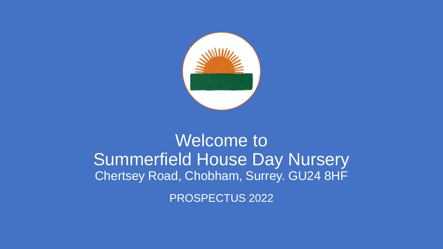

### Welcome to Summerfield House Day Nursery Chertsey Road, Chobham, Surrey. GU24 8HF

PROSPECTUS 2022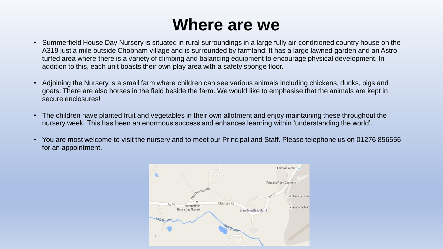### **Where are we**

- Summerfield House Day Nursery is situated in rural surroundings in a large fully air-conditioned country house on the A319 just a mile outside Chobham village and is surrounded by farmland. It has a large lawned garden and an Astro turfed area where there is a variety of climbing and balancing equipment to encourage physical development. In addition to this, each unit boasts their own play area with a safety sponge floor.
- Adjoining the Nursery is a small farm where children can see various animals including chickens, ducks, pigs and goats. There are also horses in the field beside the farm. We would like to emphasise that the animals are kept in secure enclosures!
- The children have planted fruit and vegetables in their own allotment and enjoy maintaining these throughout the nursery week. This has been an enormous success and enhances learning within 'understanding the world'.
- You are most welcome to visit the nursery and to meet our Principal and Staff. Please telephone us on 01276 856556 for an appointment.

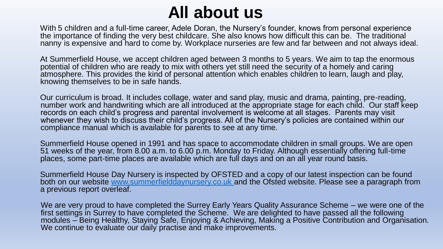## **All about us**

With 5 children and a full-time career, Adele Doran, the Nursery's founder, knows from personal experience the importance of finding the very best childcare. She also knows how difficult this can be. The traditional nanny is expensive and hard to come by. Workplace nurseries are few and far between and not always ideal.

At Summerfield House, we accept children aged between 3 months to 5 years. We aim to tap the enormous potential of children who are ready to mix with others yet still need the security of a homely and caring atmosphere. This provides the kind of personal attention which enables children to learn, laugh and play, knowing themselves to be in safe hands.

Our curriculum is broad. It includes collage, water and sand play, music and drama, painting, pre-reading, number work and handwriting which are all introduced at the appropriate stage for each child. Our staff keep records on each child's progress and parental involvement is welcome at all stages. Parents may visit whenever they wish to discuss their child's progress. All of the Nursery's policies are contained within our compliance manual which is available for parents to see at any time.

Summerfield House opened in 1991 and has space to accommodate children in small groups. We are open 51 weeks of the year, from 8.00 a.m. to 6.00 p.m. Monday to Friday. Although essentially offering full-time places, some part-time places are available which are full days and on an all year round basis.

Summerfield House Day Nursery is inspected by OFSTED and a copy of our latest inspection can be found both on our website [www.summerfielddaynursery.co.uk a](http://www.summerfielddaynursery.co.uk/)nd the Ofsted website. Please see a paragraph from a previous report overleaf.

We are very proud to have completed the Surrey Early Years Quality Assurance Scheme – we were one of the first settings in Surrey to have completed the Scheme. We are delighted to have passed all the following modules – Being Healthy, Staying Safe, Enjoying & Achieving, Making a Positive Contribution and Organisation. We continue to evaluate our daily practise and make improvements.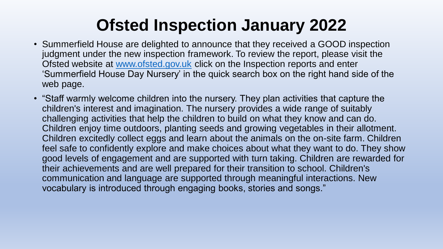# **Ofsted Inspection January 2022**

- Summerfield House are delighted to announce that they received a GOOD inspection judgment under the new inspection framework. To review the report, please visit the Ofsted website at [www.ofsted.gov.uk](http://www.ofsted.gov.uk/) click on the Inspection reports and enter 'Summerfield House Day Nursery' in the quick search box on the right hand side of the web page.
- "Staff warmly welcome children into the nursery. They plan activities that capture the children's interest and imagination. The nursery provides a wide range of suitably challenging activities that help the children to build on what they know and can do. Children enjoy time outdoors, planting seeds and growing vegetables in their allotment. Children excitedly collect eggs and learn about the animals on the on-site farm. Children feel safe to confidently explore and make choices about what they want to do. They show good levels of engagement and are supported with turn taking. Children are rewarded for their achievements and are well prepared for their transition to school. Children's communication and language are supported through meaningful interactions. New vocabulary is introduced through engaging books, stories and songs."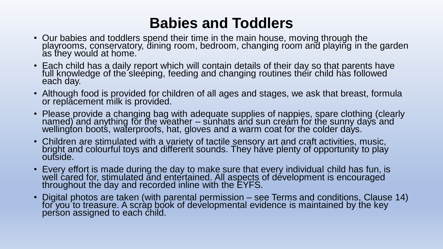### **Babies and Toddlers**

- Our babies and toddlers spend their time in the main house, moving through the playrooms, conservatory, dining room, bedroom, changing room and playing in the garden as they would at home.
- Each child has a daily report which will contain details of their day so that parents have full knowledge of the sleeping, feeding and changing routines their child has followed each day.
- Although food is provided for children of all ages and stages, we ask that breast, formula or replacement milk is provided.
- Please provide a changing bag with adequate supplies of nappies, spare clothing (clearly named) and anything for the weather – sunhats and sun cream for the sunny days and wellington boots, waterproofs, hat, gloves and a warm coat for the colder days.
- Children are stimulated with a variety of tactile sensory art and craft activities, music, bright and colourful toys and different sounds. They have plenty of opportunity to play outside.
- Every effort is made during the day to make sure that every individual child has fun, is well cared for, stimulated and entertained. All aspects of development is encouraged throughout the day and recorded inline with the EYFS.
- Digital photos are taken (with parental permission see Terms and conditions, Clause 14) for you to treasure. A scràp book of developmental evidence is maintained by the key person assigned to each child.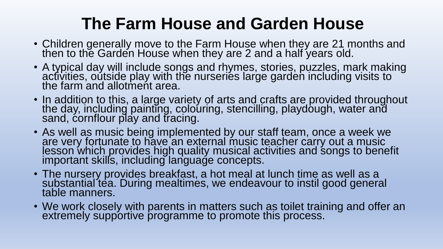## **The Farm House and Garden House**

- Children generally move to the Farm House when they are 21 months and then to the Garden House when they are 2 and a half years old.
- A typical day will include songs and rhymes, stories, puzzles, mark making activities, outside play with the nurseries large garden including visits to the farm and allotment area.
- In addition to this, a large variety of arts and crafts are provided throughout the day, including painting, colouring, stencilling, playdough, water and sand, cornflour play and tracing.
- As well as music being implemented by our staff team, once a week we are very fortunate to have an external music teacher carry out a music lesson which provides high quality musical activities and songs to benefit important skills, including language concepts.
- The nursery provides breakfast, a hot meal at lunch time as well as a substantial tea. During mealtimes, we endeavour to instil good general table manners.
- We work closely with parents in matters such as toilet training and offer an extremely supportive programme to promote this process.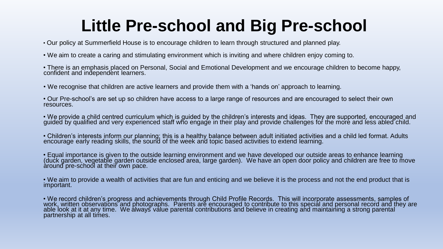# **Little Pre-school and Big Pre-school**

• Our policy at Summerfield House is to encourage children to learn through structured and planned play.

- We aim to create a caring and stimulating environment which is inviting and where children enjoy coming to.
- There is an emphasis placed on Personal, Social and Emotional Development and we encourage children to become happy, confident and independent learners.
- We recognise that children are active learners and provide them with a 'hands on' approach to learning.
- Our Pre-school's are set up so children have access to a large range of resources and are encouraged to select their own resources.
- We provide a child centred curriculum which is guided by the children's interests and ideas. They are supported, encouraged and guided by qualified and very experienced staff who engage in their play and provide challenges for the more and less abled child.
- Children's interests inform our planning; this is a healthy balance between adult initiated activities and a child led format. Adults encourage early reading skills, the sound of the week and topic based activities to extend learning.
- Equal importance is given to the outside learning environment and we have developed our outside areas to enhance learning (duck garden, vegetable garden outside enclosed area, large garden). We have an open door policy and children are free to move around pre-school at their own pace.
- We aim to provide a wealth of activities that are fun and enticing and we believe it is the process and not the end product that is important.
- We record children's progress and achievements through Child Profile Records. This will incorporate assessments, samples of work, written observations and photographs. Parents are encouraged to contribute to this special and personal record and they are able look at it at any time. We always value parental contributions and believe in creating and maintaining a strong parental partnership at all times.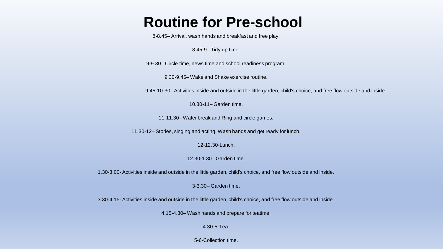### **Routine for Pre-school**

8-8.45– Arrival, wash hands and breakfast and free play.

8.45-9– Tidy up time.

9-9.30– Circle time, news time and school readiness program.

9.30-9.45– Wake and Shake exercise routine.

9.45-10-30– Activities inside and outside in the little garden, child's choice, and free flow outside and inside.

10.30-11– Garden time.

11-11.30– Water break and Ring and circle games.

11.30-12– Stories, singing and acting. Wash hands and get ready for lunch.

12-12.30-Lunch.

12.30-1.30– Garden time.

1.30-3.00- Activities inside and outside in the little garden, child's choice, and free flow outside and inside.

3-3.30– Garden time.

3.30-4.15- Activities inside and outside in the little garden, child's choice, and free flow outside and inside.

4.15-4.30– Wash hands and prepare for teatime.

4.30-5-Tea.

5-6-Collection time.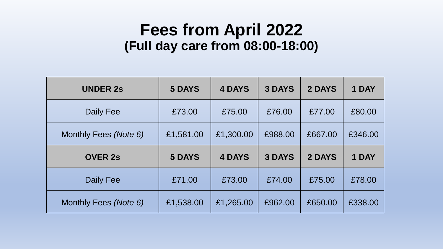### **Fees from April 2022 (Full day care from 08:00-18:00)**

| <b>UNDER 2s</b>       | <b>5 DAYS</b> | <b>4 DAYS</b> | <b>3 DAYS</b> | 2 DAYS  | 1 DAY   |
|-----------------------|---------------|---------------|---------------|---------|---------|
| Daily Fee             | £73.00        | £75.00        | £76.00        | £77.00  | £80.00  |
| Monthly Fees (Note 6) | £1,581.00     | £1,300.00     | £988.00       | £667.00 | £346.00 |
| <b>OVER 2s</b>        | <b>5 DAYS</b> | <b>4 DAYS</b> | <b>3 DAYS</b> | 2 DAYS  | 1 DAY   |
|                       |               |               |               |         |         |
| Daily Fee             | £71.00        | £73.00        | £74.00        | £75.00  | £78.00  |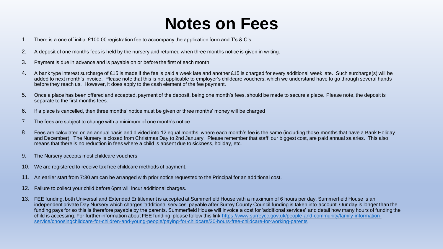### **Notes on Fees**

- 1. There is a one off initial £100.00 registration fee to accompany the application form and T's & C's.
- 2. A deposit of one months fees is held by the nursery and returned when three months notice is given in writing.
- 3. Payment is due in advance and is payable on or before the first of each month.
- 4. A bank type interest surcharge of £15 is made if the fee is paid a week late and another £15 is charged for every additional week late. Such surcharge(s) will be added to next month's invoice. Please note that this is not applicable to employer's childcare vouchers, which we understand have to go through several hands before they reach us. However, it does apply to the cash element of the fee payment.
- 5. Once a place has been offered and accepted, payment of the deposit, being one month's fees, should be made to secure a place. Please note, the deposit is separate to the first months fees.
- 6. If a place is cancelled, then three months' notice must be given or three months' money will be charged
- 7. The fees are subject to change with a minimum of one month's notice
- 8. Fees are calculated on an annual basis and divided into 12 equal months, where each month's fee is the same (including those months that have a Bank Holiday and December). The Nursery is closed from Christmas Day to 2nd January. Please remember that staff, our biggest cost, are paid annual salaries. This also means that there is no reduction in fees where a child is absent due to sickness, holiday, etc.
- 9. The Nursery accepts most childcare vouchers
- 10. We are registered to receive tax free childcare methods of payment.
- 11. An earlier start from 7:30 am can be arranged with prior notice requested to the Principal for an additional cost.
- 12. Failure to collect your child before 6pm will incur additional charges.
- 13. FEE funding, both Universal and Extended Entitlement is accepted at Summerfield House with a maximum of 6 hours per day. Summerfield House is an independent private Day Nursery which charges 'additional services' payable after Surrey County Council funding is taken into account. Our day is longer than the funding pays for so this is therefore payable by the parents. Summerfield House will invoice a cost for 'additional services' and detail how many hours of funding the [child is accessing. For further information about FEE funding, please follow this link https://www.surreycc.gov.uk/people-and-community/family-information](https://www.surreycc.gov.uk/people-and-community/family-information-service/choosing-childcare-for-children-and-young-people/paying-for-childcare/30-hours-free-childcare-for-working-parents)service/choosingchildcare-for-children-and-young-people/paying-for-childcare/30-hours-free-childcare-for-working-parents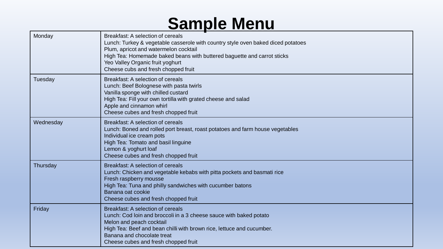## **Sample Menu**

| Monday    | Breakfast: A selection of cereals<br>Lunch: Turkey & vegetable casserole with country style oven baked diced potatoes<br>Plum, apricot and watermelon cocktail<br>High Tea: Homemade baked beans with buttered baguette and carrot sticks<br>Yeo Valley Organic fruit yoghurt<br>Cheese cubs and fresh chopped fruit |
|-----------|----------------------------------------------------------------------------------------------------------------------------------------------------------------------------------------------------------------------------------------------------------------------------------------------------------------------|
| Tuesday   | Breakfast: A selection of cereals<br>Lunch: Beef Bolognese with pasta twirls<br>Vanilla sponge with chilled custard<br>High Tea: Fill your own tortilla with grated cheese and salad<br>Apple and cinnamon whirl<br>Cheese cubes and fresh chopped fruit                                                             |
| Wednesday | Breakfast: A selection of cereals<br>Lunch: Boned and rolled port breast, roast potatoes and farm house vegetables<br>Individual ice cream pots<br>High Tea: Tomato and basil linguine<br>Lemon & yoghurt loaf<br>Cheese cubes and fresh chopped fruit                                                               |
| Thursday  | Breakfast: A selection of cereals<br>Lunch: Chicken and vegetable kebabs with pitta pockets and basmati rice<br>Fresh raspberry mousse<br>High Tea: Tuna and philly sandwiches with cucumber batons<br>Banana oat cookie<br>Cheese cubes and fresh chopped fruit                                                     |
| Friday    | Breakfast: A selection of cereals<br>Lunch: Cod loin and broccoli in a 3 cheese sauce with baked potato<br>Melon and peach cocktail<br>High Tea: Beef and bean chilli with brown rice, lettuce and cucumber.<br>Banana and chocolate treat<br>Cheese cubes and fresh chopped fruit                                   |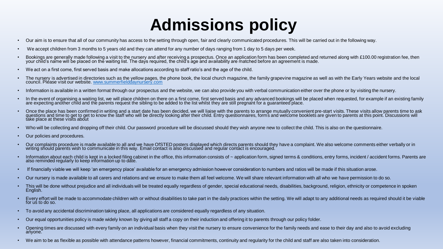# **Admissions policy**

- Our aim is to ensure that all of our community has access to the setting through open, fair and clearly communicated procedures. This will be carried out in the following way.
- We accept children from 3 months to 5 years old and they can attend for any number of days ranging from 1 day to 5 days per week.
- Bookings are generally made following a visit to the nursery and after receiving a prospectus. Once an application form has been completed and returned along with £100.00 registration fee, then your child's name will be placed on the waiting list. The days required, the child's age and availability are matched before an agreement is made.
- We act on a first come, first served basis and make allocations according to staff ratio's and the age of the child.
- The nursery is advertised in directories such as the yellow pages, the phone book, the local church magazine, the family grapevine magazine as well as with the Early Years website and the local council. Please visit our website. [www.summerfielddaynursery.com](http://www.summerfielddaynursery.com/)
- Information is available in a written format through our prospectus and the website, we can also provide you with verbal communication either over the phone or by visiting the nursery.
- In the event of organising a waiting list, we will place children on there on a first come, first served basis and any advanced bookings will be placed when requested, for example if an existing family are expecting another child and the parents request the sibling to be added to the list whilst they are still pregnant for a guaranteed place.
- Once the place has been confirmed in writing and a start date has been decided, we will liaise with the parents to arrange mutually convenient pre-start visits. These visits allow parents time to ask questions and time to get to get to know the staff who will be directly looking after their child. Entry questionnaires, forms and welcome booklets are given to parents at this point. Discussions will take place at these visits about
- Who will be collecting and dropping off their child. Our password procedure will be discussed should they wish anyone new to collect the child. This is also on the questionnaire.
- Our policies and procedures.
- Our complaints procedure is made available to all and we have OfSTED posters displayed which directs parents should they have a complaint. We also welcome comments either verbally or in writing should parents wish to communicate in this way. Email contact is also discussed and regular contact is encouraged.
- Information about each child is kept in a locked filing cabinet in the office, this information consists of ~ application form, signed terms & conditions, entry forms, incident / accident forms. Parents are also reminded regularly to keep information up to date.
- If financially viable we will keep 'an emergency place' available for an emergency admission however consideration to numbers and ratios will be made if this situation arose.
- Our nursery is made available to all carers and relations and we ensure to make them all feel welcome. We will share relevant information with all who we have permission to do so.
- This will be done without prejudice and all individuals will be treated equally regardless of gender, special educational needs, disabilities, background, religion, ethnicity or competence in spoken English.
- Every effort will be made to accommodate children with or without disabilities to take part in the daily practices within the setting. We will adapt to any additional needs as required should it be viable for us to do so.
- To avoid any accidental discrimination taking place, all applications are considered equally regardless of any situation.
- Our equal opportunities policy is made widely known by giving all staff a copy on their induction and offering it to parents through our policy folder.
- Opening times are discussed with every family on an individual basis when they visit the nursery to ensure convenience for the family needs and ease to their day and also to avoid excluding anyone.
- We aim to be as flexible as possible with attendance patterns however, financial commitments, continuity and regularity for the child and staff are also taken into consideration.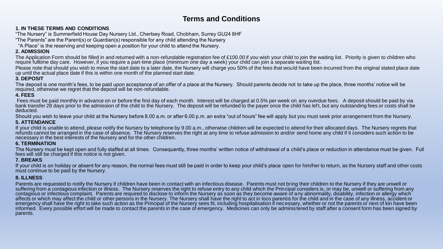### **Terms and Conditions**

#### **1. IN THESE TERMS AND CONDITIONS**

"The Nursery" is Summerfield House Day Nursery Ltd., Chertsey Road, Chobham, Surrey GU24 8HF

"The Parents" are the Parent(s) or Guardian(s) responsible for any child attending the Nursery

"A Place" is the reserving and keeping open a position for your child to attend the Nursery.

#### **2. ADMISSION**

The Application Form should be filled in and returned with a non-refundable registration fee of £100.00 if you wish your child to join the waiting list. Priority is given to children who require fulltime day care. However, if you require a part-time place (minimum one day a week) your child can join a separate waiting list.

Please note that should you wish to move the start date to a later date, the Nursery will charge you 50% of the fees that would have been incurred from the original stated place date up until the actual place date if this is within one month of the planned start date.

#### **3. DEPOSIT**

The deposit is one month's fees, to be paid upon acceptance of an offer of a place at the Nursery. Should parents decide not to take up the place, three months' notice will be required, otherwise we regret that the deposit will be non-refundable.

#### **4. FEES**

Fees must be paid monthly in advance on or before the first day of each month. Interest will be charged at 0.5% per week on any overdue fees. A deposit should be paid by via bank transfer 28 days prior to the admission of the child to the Nursery. The deposit will be refunded to the payer once the child has left, but any outstanding fees or costs shall be deducted.

Should you wish to leave your child at the Nursery before 8.00 a.m. or after 6.00 p.m. an extra "out of hours" fee will apply but you must seek prior arrangement from the Nursery.

#### **5. ATTENDANCE**

If your child is unable to attend, please notify the Nursery by telephone by 9.00 a.m., otherwise children will be expected to attend for their allocated days. The Nursery regrets that refunds cannot be arranged in the case of absence. The Nursery reserves the right at any time to refuse admission to and/or send home any child if it considers such action to be necessary in the best interests of the Nursery and for the other children.

#### **6. TERMINATION**

The Nursery must be kept open and fully staffed at all times. Consequently, three months' written notice of withdrawal of a child's place or reduction in attendance must be given. Full fees will still be charged if this notice is not given.

#### **7. BREAKS**

If your child is on holiday or absent for any reason, the normal fees must still be paid in order to keep your child's place open for him/her to return, as the Nursery staff and other costs must continue to be paid by the Nursery.

#### **8. ILLNESS**

Parents are requested to notify the Nursery if children have been in contact with an infectious disease. Parents must not bring their children to the Nursery if they are unwell or suffering from a contagious infection or illness. The Nursery reserves the right to refuse entry to any child which the Principal considers is, or may be, unwell or suffering from any be any be any be any be any be any be contagious or infectious complaint. Parents are required to disclose to inform the Nursery as soon as they become aware of any abnormality, disability, infection or allergy which affects or which may affect the child or other persons in the Nursery. The Nursery shall have the right to act in loco parentis for the child and in the case of any illness, accident or emergency shall have the right to take such action as the Principal of the Nursery sees fit, including hospitalisation if necessary, whether or not the parents or next of kin have been informed. Every possible effort will be made to contact the parents in the case of emergency. Medicines can only be administered by staff after a consent form has been signed by parents.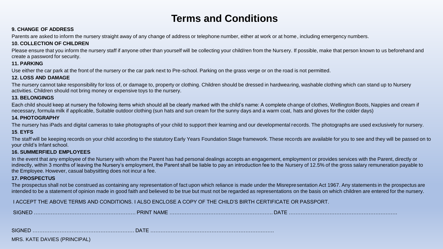### **Terms and Conditions**

#### **9. CHANGE OF ADDRESS**

Parents are asked to inform the nursery straight away of any change of address or telephone number, either at work or at home, including emergency numbers.

#### **10. COLLECTION OF CHILDREN**

Please ensure that you inform the nursery staff if anyone other than yourself will be collecting your child/ren from the Nursery. If possible, make that person known to us beforehand and create a password for security.

#### **11. PARKING**

Use either the car park at the front of the nursery or the car park next to Pre-school. Parking on the grass verge or on the road is not permitted.

#### **12. LOSS AND DAMAGE**

The nursery cannot take responsibility for loss of, or damage to, property or clothing. Children should be dressed in hardwearing, washable clothing which can stand up to Nursery activities. Children should not bring money or expensive toys to the nursery.

#### **13. BELONGINGS**

Each child should keep at nursery the following items which should all be clearly marked with the child's name: A complete change of clothes, Wellington Boots, Nappies and cream if necessary, formula milk if applicable, Suitable outdoor clothing (sun hats and sun cream for the sunny days and a warm coat, hats and gloves for the colder days)

#### **14. PHOTOGRAPHY**

The nursery has iPads and digital cameras to take photographs of your child to support their learning and our developmental records. The photographs are used exclusively for nursery.

#### **15**. **EYFS**

The staff will be keeping records on your child according to the statutory Early Years Foundation Stage framework. These records are available for you to see and they will be passed on to your child's Infant school.

#### **16. SUMMERFIELD EMPLOYEES**

In the event that any employee of the Nursery with whom the Parent has had personal dealings accepts an engagement, employment or provides services with the Parent, directly or indirectly, within 3 months of leaving the Nursery's employment, the Parent shall be liable to pay an introduction fee to the Nursery of 12.5% of the gross salary remuneration payable to the Employee. However, casual babysitting does not incur a fee.

#### **17. PROSPECTUS**

The prospectus shall not be construed as containing any representation of fact upon which reliance is made under the Misrepresentation Act 1967. Any statements in the prospectus are intended to be a statement of opinion made in good faith and believed to be true but must not be regarded as representations on the basis on which children are entered for the nursery.

I ACCEPT THE ABOVE TERMS AND CONDITIONS. I ALSO ENCLOSE A COPY OF THE CHILD'S BIRTH CERTIFICATE OR PASSPORT.

| <b>SIGNF</b> | םר<br><b>NAML</b><br><b>TINH</b> |  |
|--------------|----------------------------------|--|
|--------------|----------------------------------|--|

SIGNED …………………………………………………… DATE ……………………………………………………………….

MRS. KATE DAVIES (PRINCIPAL)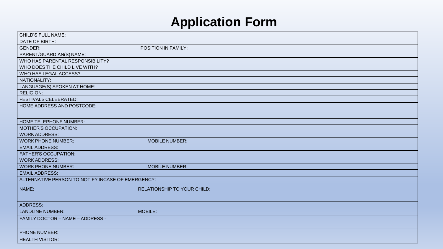### **Application Form**

| DATE OF BIRTH:<br><b>GENDER:</b><br>POSITION IN FAMILY:<br>PARENT/GUARDIAN(S) NAME:<br>WHO HAS PARENTAL RESPONSIBILITY?<br>WHO DOES THE CHILD LIVE WITH?<br>WHO HAS LEGAL ACCESS?<br>NATIONALITY:<br>LANGUAGE(S) SPOKEN AT HOME:<br><b>RELIGION:</b><br><b>FESTIVALS CELEBRATED:</b><br>HOME ADDRESS AND POSTCODE:<br><b>HOME TELEPHONE NUMBER:</b><br><b>MOTHER'S OCCUPATION:</b><br><b>WORK ADDRESS:</b><br><b>WORK PHONE NUMBER:</b><br><b>MOBILE NUMBER:</b><br><b>EMAIL ADDRESS:</b><br><b>FATHER'S OCCUPATION:</b><br><b>WORK ADDRESS:</b><br><b>WORK PHONE NUMBER:</b><br><b>MOBILE NUMBER:</b><br><b>EMAIL ADDRESS:</b><br>ALTERNATIVE PERSON TO NOTIFY INCASE OF EMERGENCY: |
|--------------------------------------------------------------------------------------------------------------------------------------------------------------------------------------------------------------------------------------------------------------------------------------------------------------------------------------------------------------------------------------------------------------------------------------------------------------------------------------------------------------------------------------------------------------------------------------------------------------------------------------------------------------------------------------|
|                                                                                                                                                                                                                                                                                                                                                                                                                                                                                                                                                                                                                                                                                      |
|                                                                                                                                                                                                                                                                                                                                                                                                                                                                                                                                                                                                                                                                                      |
|                                                                                                                                                                                                                                                                                                                                                                                                                                                                                                                                                                                                                                                                                      |
|                                                                                                                                                                                                                                                                                                                                                                                                                                                                                                                                                                                                                                                                                      |
|                                                                                                                                                                                                                                                                                                                                                                                                                                                                                                                                                                                                                                                                                      |
|                                                                                                                                                                                                                                                                                                                                                                                                                                                                                                                                                                                                                                                                                      |
|                                                                                                                                                                                                                                                                                                                                                                                                                                                                                                                                                                                                                                                                                      |
|                                                                                                                                                                                                                                                                                                                                                                                                                                                                                                                                                                                                                                                                                      |
|                                                                                                                                                                                                                                                                                                                                                                                                                                                                                                                                                                                                                                                                                      |
|                                                                                                                                                                                                                                                                                                                                                                                                                                                                                                                                                                                                                                                                                      |
|                                                                                                                                                                                                                                                                                                                                                                                                                                                                                                                                                                                                                                                                                      |
|                                                                                                                                                                                                                                                                                                                                                                                                                                                                                                                                                                                                                                                                                      |
|                                                                                                                                                                                                                                                                                                                                                                                                                                                                                                                                                                                                                                                                                      |
|                                                                                                                                                                                                                                                                                                                                                                                                                                                                                                                                                                                                                                                                                      |
|                                                                                                                                                                                                                                                                                                                                                                                                                                                                                                                                                                                                                                                                                      |
|                                                                                                                                                                                                                                                                                                                                                                                                                                                                                                                                                                                                                                                                                      |
|                                                                                                                                                                                                                                                                                                                                                                                                                                                                                                                                                                                                                                                                                      |
|                                                                                                                                                                                                                                                                                                                                                                                                                                                                                                                                                                                                                                                                                      |
|                                                                                                                                                                                                                                                                                                                                                                                                                                                                                                                                                                                                                                                                                      |
|                                                                                                                                                                                                                                                                                                                                                                                                                                                                                                                                                                                                                                                                                      |
|                                                                                                                                                                                                                                                                                                                                                                                                                                                                                                                                                                                                                                                                                      |
|                                                                                                                                                                                                                                                                                                                                                                                                                                                                                                                                                                                                                                                                                      |
| NAME:<br><b>RELATIONSHIP TO YOUR CHILD:</b>                                                                                                                                                                                                                                                                                                                                                                                                                                                                                                                                                                                                                                          |
|                                                                                                                                                                                                                                                                                                                                                                                                                                                                                                                                                                                                                                                                                      |
|                                                                                                                                                                                                                                                                                                                                                                                                                                                                                                                                                                                                                                                                                      |
| <b>ADDRESS:</b>                                                                                                                                                                                                                                                                                                                                                                                                                                                                                                                                                                                                                                                                      |
| MOBILE:<br><b>LANDLINE NUMBER:</b>                                                                                                                                                                                                                                                                                                                                                                                                                                                                                                                                                                                                                                                   |
| FAMILY DOCTOR - NAME - ADDRESS -                                                                                                                                                                                                                                                                                                                                                                                                                                                                                                                                                                                                                                                     |
|                                                                                                                                                                                                                                                                                                                                                                                                                                                                                                                                                                                                                                                                                      |
| PHONE NUMBER:                                                                                                                                                                                                                                                                                                                                                                                                                                                                                                                                                                                                                                                                        |
| <b>HEALTH VISITOR:</b>                                                                                                                                                                                                                                                                                                                                                                                                                                                                                                                                                                                                                                                               |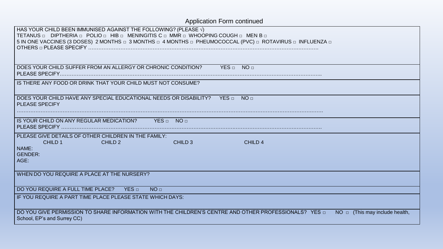| <b>Application Form continued</b>                                                                                                                                                                                                                                                 |
|-----------------------------------------------------------------------------------------------------------------------------------------------------------------------------------------------------------------------------------------------------------------------------------|
| HAS YOUR CHILD BEEN IMMUNISED AGAINST THE FOLLOWING? (PLEASE $\sqrt{}$ )<br>TETANUS <b>DIPTHERIA D</b> POLIO D HIB D MENINGITIS C D MMR D WHOOPING COUGH D MEN B D<br>5 IN ONE VACCINES (3 DOSES) 2 MONTHS [ 3 MONTHS [ 4 MONTHS [ PHEUMOCOCCAL (PVC) [ ROTAVIRUS [ INFLUENZA [ ] |
| DOES YOUR CHILD SUFFER FROM AN ALLERGY OR CHRONIC CONDITION?<br>YES NO                                                                                                                                                                                                            |
| IS THERE ANY FOOD OR DRINK THAT YOUR CHILD MUST NOT CONSUME?                                                                                                                                                                                                                      |
| DOES YOUR CHILD HAVE ANY SPECIAL EDUCATIONAL NEEDS OR DISABILITY?<br>NO <sub>□</sub><br>YES □<br><b>PLEASE SPECIFY</b>                                                                                                                                                            |
| IS YOUR CHILD ON ANY REGULAR MEDICATION?<br>YES D NOD                                                                                                                                                                                                                             |
| PLEASE GIVE DETAILS OF OTHER CHILDREN IN THE FAMILY:<br>CHILD 1<br>CHILD <sub>2</sub><br>CHILD <sub>3</sub><br>CHILD <sub>4</sub><br>NAME:<br><b>GENDER:</b><br>AGE:                                                                                                              |
| WHEN DO YOU REQUIRE A PLACE AT THE NURSERY?                                                                                                                                                                                                                                       |
| DO YOU REQUIRE A FULL TIME PLACE?<br>YES <sub>□</sub><br>NO <sub>□</sub>                                                                                                                                                                                                          |
| IF YOU REQUIRE A PART TIME PLACE PLEASE STATE WHICH DAYS:                                                                                                                                                                                                                         |
| DO YOU GIVE PERMISSION TO SHARE INFORMATION WITH THE CHILDREN'S CENTRE AND OTHER PROFESSIONALS? YES O<br>$NO \square$ (This may include health,<br>School, EP's and Surrey CC)                                                                                                    |